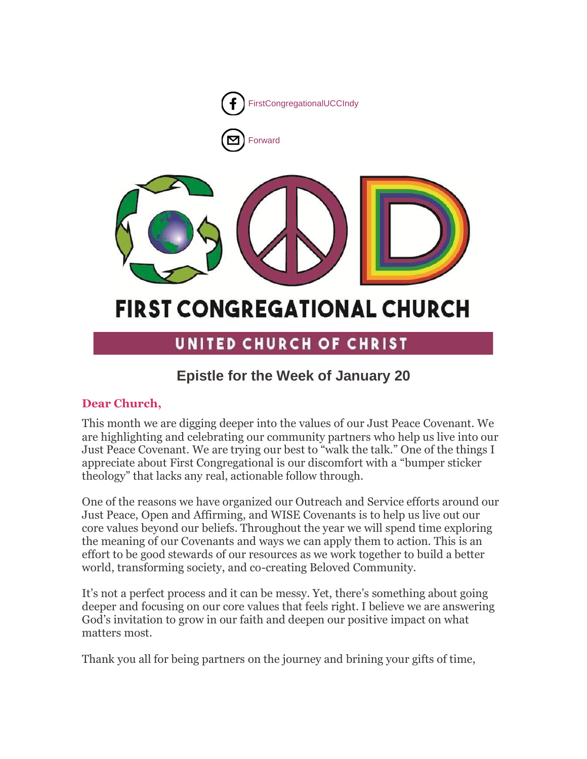

## UNITED CHURCH OF CHRIST

## **Epistle for the Week of January 20**

#### **Dear Church,**

This month we are digging deeper into the values of our Just Peace Covenant. We are highlighting and celebrating our community partners who help us live into our Just Peace Covenant. We are trying our best to "walk the talk." One of the things I appreciate about First Congregational is our discomfort with a "bumper sticker theology" that lacks any real, actionable follow through.

One of the reasons we have organized our Outreach and Service efforts around our Just Peace, Open and Affirming, and WISE Covenants is to help us live out our core values beyond our beliefs. Throughout the year we will spend time exploring the meaning of our Covenants and ways we can apply them to action. This is an effort to be good stewards of our resources as we work together to build a better world, transforming society, and co-creating Beloved Community.

It's not a perfect process and it can be messy. Yet, there's something about going deeper and focusing on our core values that feels right. I believe we are answering God's invitation to grow in our faith and deepen our positive impact on what matters most.

Thank you all for being partners on the journey and brining your gifts of time,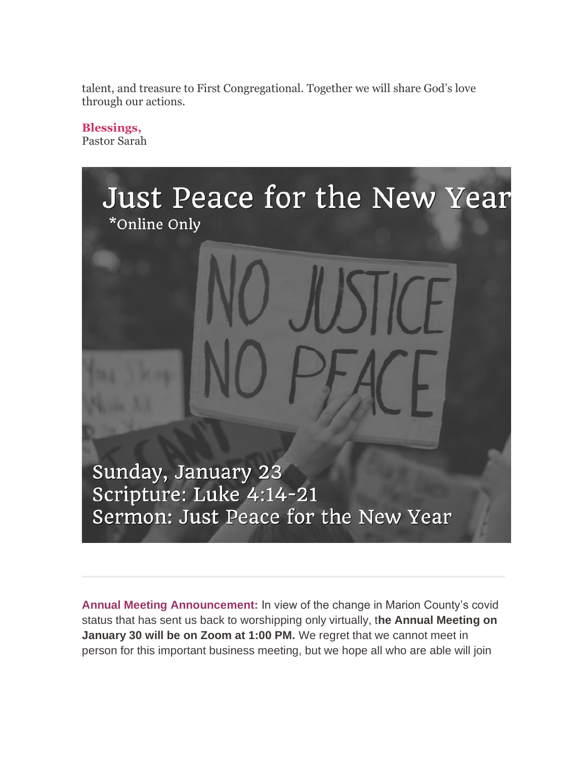talent, and treasure to First Congregational. Together we will share God's love through our actions.

#### **Blessings,** Pastor Sarah



**Annual Meeting Announcement:** In view of the change in Marion County's covid status that has sent us back to worshipping only virtually, t**he Annual Meeting on January 30 will be on Zoom at 1:00 PM.** We regret that we cannot meet in person for this important business meeting, but we hope all who are able will join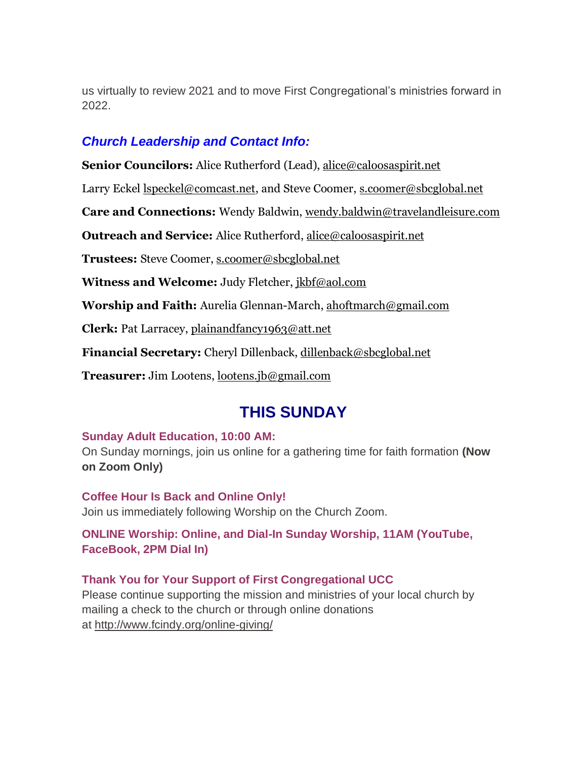us virtually to review 2021 and to move First Congregational's ministries forward in 2022.

#### *Church Leadership and Contact Info:*

**Senior Councilors:** Alice Rutherford (Lead), [alice@caloosaspirit.net](mailto:alice@caloosaspirit.net)

Larry Eckel [lspeckel@comcast.net,](mailto:lspeckel@comcast.net) and Steve Coomer, [s.coomer@sbcglobal.net](mailto:s.coomer@sbcglobal.net)

**Care and Connections:** Wendy Baldwin, [wendy.baldwin@travelandleisure.com](mailto:wendy.baldwin@travelandleisure.com)

**Outreach and Service:** Alice Rutherford, [alice@caloosaspirit.net](mailto:alice@caloosaspirit.net)

**Trustees:** Steve Coomer, [s.coomer@sbcglobal.net](mailto:s.coomer@sbcglobal.net)

**Witness and Welcome:** Judy Fletcher, [jkbf@aol.com](mailto:jkbf@aol.com)

**Worship and Faith:** Aurelia Glennan-March, [ahoftmarch@gmail.com](mailto:ahoftmarch@gmail.com)

**Clerk:** Pat Larracey, [plainandfancy1963@att.net](mailto:plainandfancy1963@att.net)

**Financial Secretary:** Cheryl Dillenback, [dillenback@sbcglobal.net](mailto:dillenback@sbcglobal.net)

**Treasurer:** Jim Lootens, [lootens.jb@gmail.com](mailto:lootens.jb@gmail.com)

# **THIS SUNDAY**

#### **Sunday Adult Education, 10:00 AM:**

On Sunday mornings, join us online for a gathering time for faith formation **(Now on Zoom Only)**

**Coffee Hour Is Back and Online Only!**

Join us immediately following Worship on the Church Zoom.

**ONLINE Worship: Online, and Dial-In Sunday Worship, 11AM (YouTube, FaceBook, 2PM Dial In)**

#### **Thank You for Your Support of First Congregational UCC**

Please continue supporting the mission and ministries of your local church by mailing a check to the church or through online donations at <http://www.fcindy.org/online-giving/>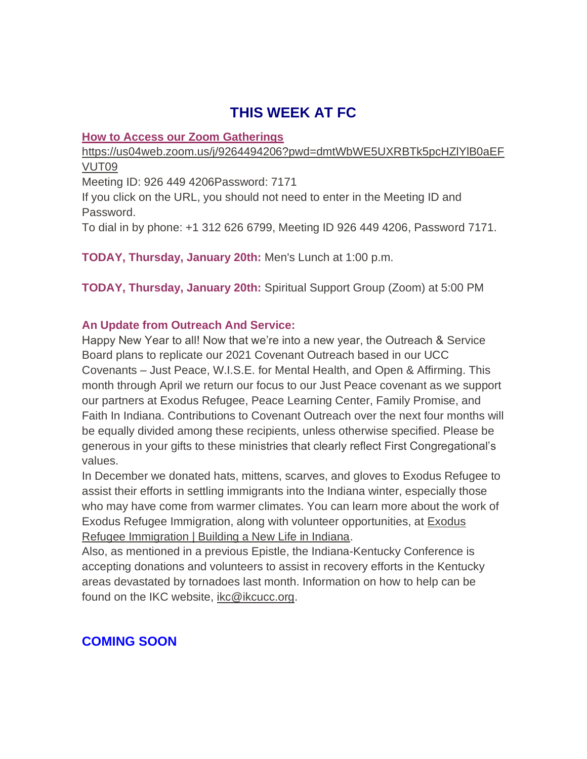## **THIS WEEK AT FC**

#### **How to Access our Zoom Gatherings**

[https://us04web.zoom.us/j/9264494206?pwd=dmtWbWE5UXRBTk5pcHZlYlB0aEF](https://us04web.zoom.us/j/9264494206?pwd=dmtWbWE5UXRBTk5pcHZlYlB0aEFVUT09) [VUT09](https://us04web.zoom.us/j/9264494206?pwd=dmtWbWE5UXRBTk5pcHZlYlB0aEFVUT09) Meeting ID: 926 449 4206Password: 7171 If you click on the URL, you should not need to enter in the Meeting ID and Password.

To dial in by phone: +1 312 626 6799, Meeting ID 926 449 4206, Password 7171.

**TODAY, Thursday, January 20th:** Men's Lunch at 1:00 p.m.

**TODAY, Thursday, January 20th:** Spiritual Support Group (Zoom) at 5:00 PM

#### **An Update from Outreach And Service:**

Happy New Year to all! Now that we're into a new year, the Outreach & Service Board plans to replicate our 2021 Covenant Outreach based in our UCC Covenants – Just Peace, W.I.S.E. for Mental Health, and Open & Affirming. This month through April we return our focus to our Just Peace covenant as we support our partners at Exodus Refugee, Peace Learning Center, Family Promise, and Faith In Indiana. Contributions to Covenant Outreach over the next four months will be equally divided among these recipients, unless otherwise specified. Please be generous in your gifts to these ministries that clearly reflect First Congregational's values.

In December we donated hats, mittens, scarves, and gloves to Exodus Refugee to assist their efforts in settling immigrants into the Indiana winter, especially those who may have come from warmer climates. You can learn more about the work of Exodus Refugee Immigration, along with volunteer opportunities, at [Exodus](https://www.exodusrefugee.org/)  [Refugee Immigration | Building a New Life in Indiana.](https://www.exodusrefugee.org/)

Also, as mentioned in a previous Epistle, the Indiana-Kentucky Conference is accepting donations and volunteers to assist in recovery efforts in the Kentucky areas devastated by tornadoes last month. Information on how to help can be found on the IKC website, [ikc@ikcucc.org.](mailto:ikc@ikcucc.org)

#### **COMING SOON**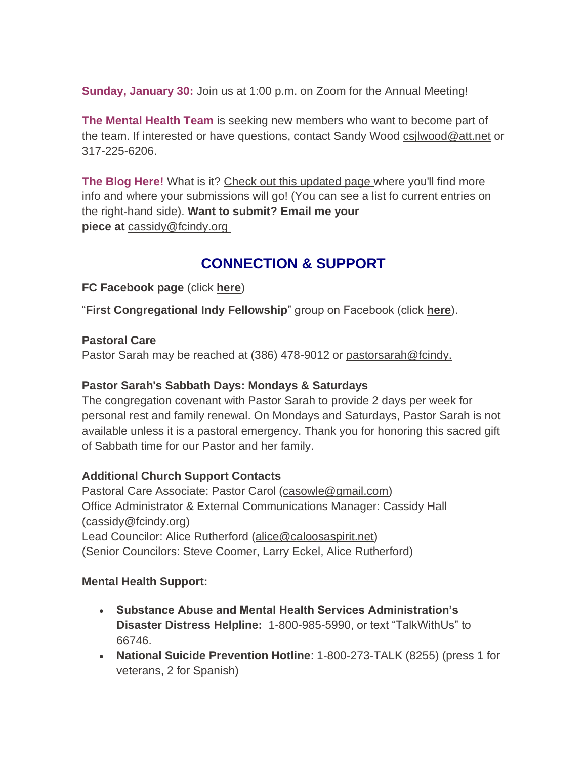**Sunday, January 30:** Join us at 1:00 p.m. on Zoom for the Annual Meeting!

**The Mental Health Team** is seeking new members who want to become part of the team. If interested or have questions, contact Sandy Wood [csjlwood@att.net](mailto:csjlwood@att.net) or 317-225-6206.

**The Blog Here!** What is it? [Check out this updated page](http://fcindy.org/blog/newblog/) where you'll find more info and where your submissions will go! (You can see a list fo current entries on the right-hand side). **Want to submit? Email me your piece at** [cassidy@fcindy.org](mailto:cassidy@fcindy.org)

## **CONNECTION & SUPPORT**

#### **FC Facebook page** (click **[here](https://www.facebook.com/FirstCongregationalUCCIndy/)**)

"**First Congregational Indy Fellowship**" group on Facebook (click **[here](https://www.facebook.com/groups/521333455186422/)**).

#### **Pastoral Care**

Pastor Sarah may be reached at (386) 478-9012 or [pastorsarah@fcindy.](mailto:pastorsarah@fcindy.org)

#### **Pastor Sarah's Sabbath Days: Mondays & Saturdays**

The congregation covenant with Pastor Sarah to provide 2 days per week for personal rest and family renewal. On Mondays and Saturdays, Pastor Sarah is not available unless it is a pastoral emergency. Thank you for honoring this sacred gift of Sabbath time for our Pastor and her family.

#### **Additional Church Support Contacts**

Pastoral Care Associate: Pastor Carol [\(casowle@gmail.com\)](mailto:casowle@gmail.com) Office Administrator & External Communications Manager: Cassidy Hall [\(cassidy@fcindy.org\)](mailto:cassidy@fcindy.org) Lead Councilor: Alice Rutherford [\(alice@caloosaspirit.net\)](mailto:s.coomer@sbcglobal.net) (Senior Councilors: Steve Coomer, Larry Eckel, Alice Rutherford)

#### **Mental Health Support:**

- **Substance Abuse and Mental Health Services Administration's Disaster Distress Helpline:** 1-800-985-5990, or text "TalkWithUs" to 66746.
- **National Suicide Prevention Hotline**: 1-800-273-TALK (8255) (press 1 for veterans, 2 for Spanish)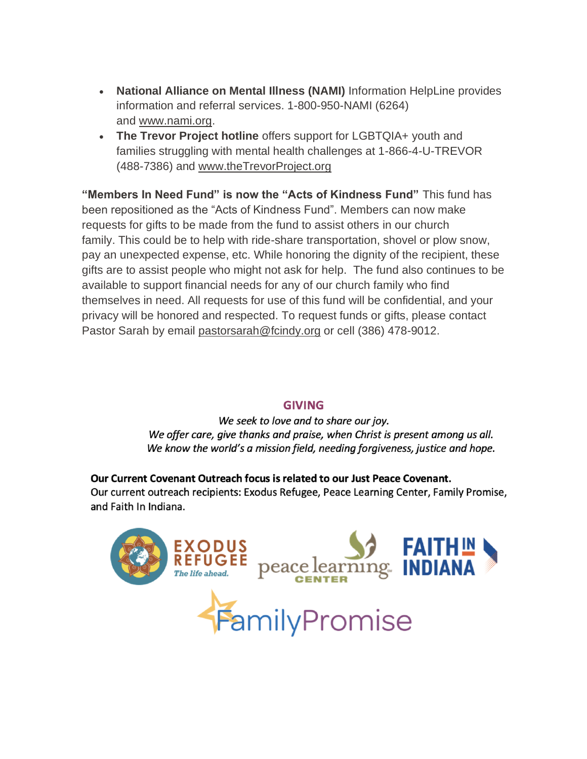- **National Alliance on Mental Illness (NAMI)** Information HelpLine provides information and referral services. 1-800-950-NAMI (6264) and [www.nami.org.](http://www.nami.org/)
- **The Trevor Project hotline** offers support for LGBTQIA+ youth and families struggling with mental health challenges at 1-866-4-U-TREVOR (488-7386) and [www.theTrevorProject.org](http://www.thetrevorproject.org/)

**"Members In Need Fund" is now the "Acts of Kindness Fund"** This fund has been repositioned as the "Acts of Kindness Fund". Members can now make requests for gifts to be made from the fund to assist others in our church family. This could be to help with ride-share transportation, shovel or plow snow, pay an unexpected expense, etc. While honoring the dignity of the recipient, these gifts are to assist people who might not ask for help. The fund also continues to be available to support financial needs for any of our church family who find themselves in need. All requests for use of this fund will be confidential, and your privacy will be honored and respected. To request funds or gifts, please contact Pastor Sarah by email [pastorsarah@fcindy.org](mailto:pastorsarah@fcindy.org) or cell (386) 478-9012.

#### **GIVING**

We seek to love and to share our joy. We offer care, give thanks and praise, when Christ is present among us all. We know the world's a mission field, needing forgiveness, justice and hope.

Our Current Covenant Outreach focus is related to our Just Peace Covenant. Our current outreach recipients: Exodus Refugee, Peace Learning Center, Family Promise, and Faith In Indiana.

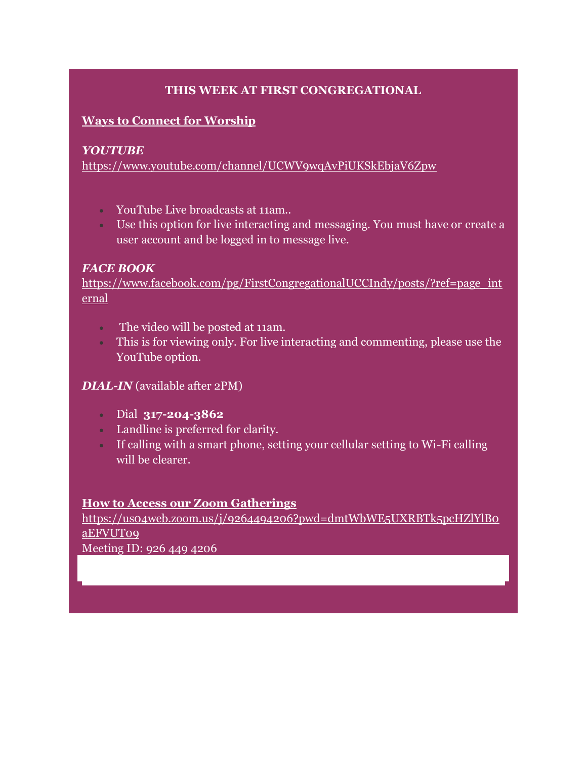#### **THIS WEEK AT FIRST CONGREGATIONAL**

#### **Ways to Connect for Worship**

#### *YOUTUBE*

<https://www.youtube.com/channel/UCWV9wqAvPiUKSkEbjaV6Zpw>

- YouTube Live broadcasts at 11am..
- Use this option for live interacting and messaging. You must have or create a user account and be logged in to message live.

#### *FACE BOOK*

[https://www.facebook.com/pg/FirstCongregationalUCCIndy/posts/?ref=page\\_int](https://www.facebook.com/pg/FirstCongregationalUCCIndy/posts/?ref=page_internal) [ernal](https://www.facebook.com/pg/FirstCongregationalUCCIndy/posts/?ref=page_internal)

- The video will be posted at 11am.
- This is for viewing only. For live interacting and commenting, please use the YouTube option.

#### *DIAL-IN* (available after 2PM)

- Dial **317-204-3862**
- Landline is preferred for clarity.
- If calling with a smart phone, setting your cellular setting to Wi-Fi calling will be clearer.

#### **How to Access our Zoom Gatherings**

[https://us04web.zoom.us/j/9264494206?pwd=dmtWbWE5UXRBTk5pcHZlYlB0](https://us04web.zoom.us/j/9264494206?pwd=dmtWbWE5UXRBTk5pcHZlYlB0aEFVUT09) [aEFVUT09](https://us04web.zoom.us/j/9264494206?pwd=dmtWbWE5UXRBTk5pcHZlYlB0aEFVUT09)

Meeting ID: 926 449 4206